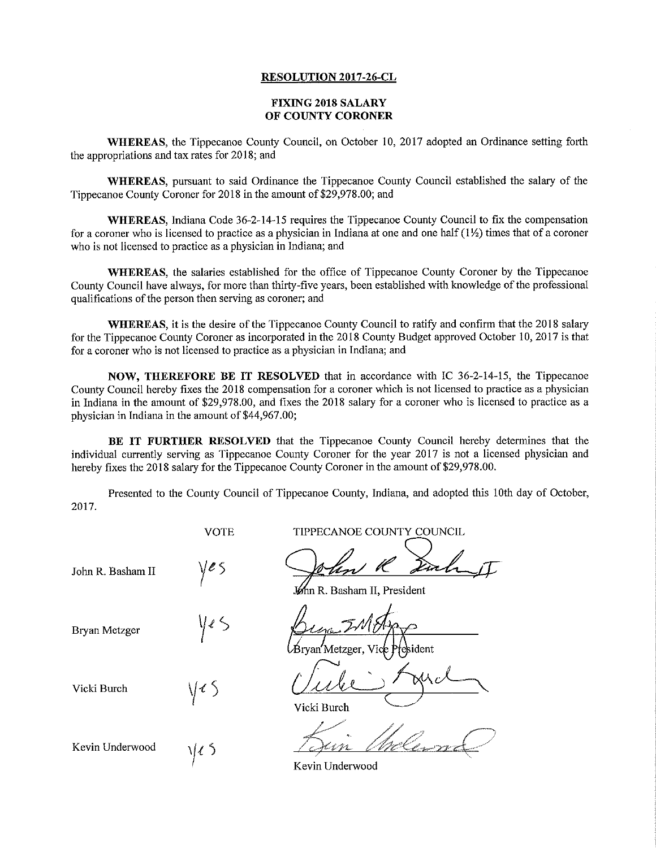## RESOLUTION 2017—26-CL

## FIXING 2018 SALARY OF COUNTY CORONER

WHEREAS, the Tippecanoe County Council, on October 10, 2017 adopted an Ordinance setting forth the appropriations and tax rates for 2018; and

WHEREAS, pursuant to said Ordinance the Tippecanoe County Council established the salary of the Tippecanoe County Coroner for 2018 in the amount of \$29,978.00; and

WHEREAS, Indiana Code 36-2-14-15 requires the Tippecanoe County Council to fix the compensation for a coroner who is licensed to practice as a physician in Indiana at one and one half  $(1\frac{1}{2})$  times that of a coroner who is not licensed to practice as a physician in Indiana; and

WHEREAS, the salaries established for the office of Tippecanoe County Coroner by the Tippecanoe County Council have always, for more than thirty-five years, been established with knowledge of the professional qualifications of the person then serving as coroner; and

WHEREAS, it is the desire of the Tippecanoe County Council to ratify and confirm that the 2018 salary for the Tippecanoe County Coroner as incorporated in the 2018 County Budget approved October 10, 2017 is that for a coroner who is not licensed to practice as a physician in Indiana; and

NOW, THEREFORE BE IT RESOLVED that in accordance with IC 36—2-14-15, the Tippecanoe County Council hereby fixes the 2018 compensation for a coroner which is not licensed to practice as a physician in Indiana in the amount of \$29,978.00, and fixes the 2018 salary for <sup>a</sup> coroner who is licensed to practice as <sup>a</sup> physician in Indiana in the amount of \$44,967.00;

BE IT FURTHER RESOLVED that the Tippecanoe County Council hereby determines that the individual currently serving as Tippecanoe County Coroner for the year <sup>2017</sup> is not <sup>a</sup> licensed physician and hereby fixes the <sup>2018</sup> salary for the Tippecanoe County Coroner in the amount of \$29,978.00.

Presented to the County Council of Tippecanoe County, Indiana, and adopted this 10th day of October, 2017.

VOTE TIPPECANOE COUNTY COUNCIL John R. Basham II n R. Basham II, President Bryan Metzger  $\sqrt{25}$   $\sqrt{24\pi^2}$   $\sqrt{47\pi^2}$ Metzger, Vick President Vicki Burch  $1/15$   $1/\sqrt{2}$   $\sqrt{2}$ Vicki Burch  $\overline{2}$ Kevin Underwood  $\sqrt{\zeta}$ 

Kevin Underwood